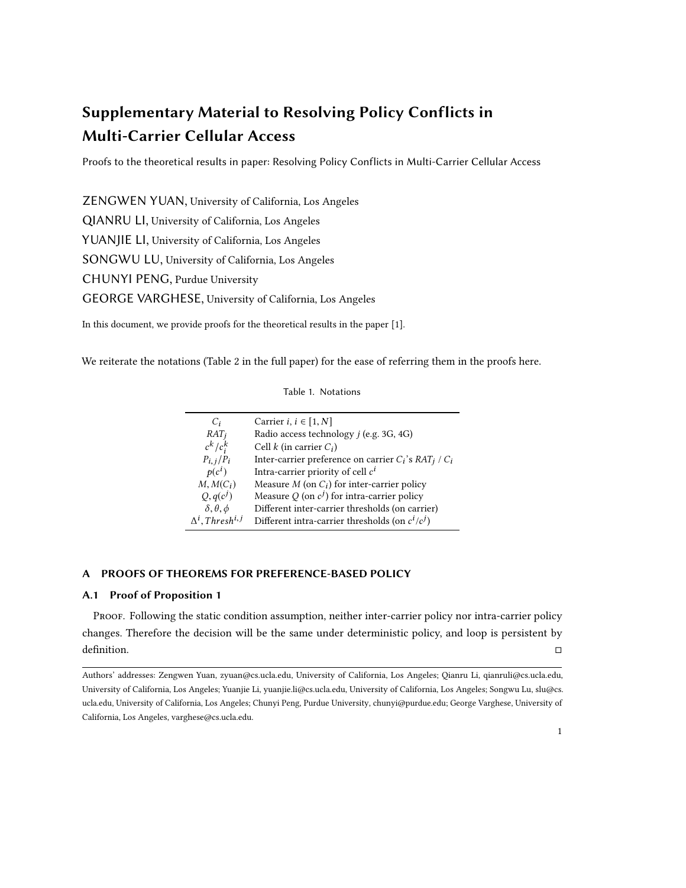# <span id="page-0-0"></span>Supplementary Material to Resolving Policy Conflicts in Multi-Carrier Cellular Access

Proofs to the theoretical results in paper: Resolving Policy Conflicts in Multi-Carrier Cellular Access

ZENGWEN YUAN, University of California, Los Angeles QIANRU LI, University of California, Los Angeles YUANJIE LI, University of California, Los Angeles SONGWU LU, University of California, Los Angeles CHUNYI PENG, Purdue University GEORGE VARGHESE, University of California, Los Angeles

In this document, we provide proofs for the theoretical results in the paper [\[1\]](#page-8-0).

We reiterate the notations (Table 2 in the full paper) for the ease of referring them in the proofs here.

| $C_i$                 | Carrier $i, i \in [1, N]$                                             |
|-----------------------|-----------------------------------------------------------------------|
| $RAT_i$               | Radio access technology <i>i</i> (e.g. 3G, 4G)                        |
| $c^k/c_i^k$           | Cell $k$ (in carrier $C_i$ )                                          |
| $P_{i,j}/P_i$         | Inter-carrier preference on carrier $C_i$ 's RAT <sub>i</sub> / $C_i$ |
| $p(c^i)$              | Intra-carrier priority of cell $c^i$                                  |
| $M, M(C_i)$           | Measure M (on $C_i$ ) for inter-carrier policy                        |
| $Q, q(c^j)$           | Measure Q (on $c^j$ ) for intra-carrier policy                        |
| $\lambda$ A $\lambda$ | Different inter-carrier thresholds (on carrier)                       |

δ, θ,ϕ Different inter-carrier thresholds (on carrier)

, Thresh<sup>i, j</sup> Different intra-carrier thresholds (on  $c^i/c^j$ )

#### Table 1. Notations

# A PROOFS OF THEOREMS FOR PREFERENCE-BASED POLICY

∆ i

## A.1 Proof of Proposition 1

Proof. Following the static condition assumption, neither inter-carrier policy nor intra-carrier policy changes. Therefore the decision will be the same under deterministic policy, and loop is persistent by definition.  $\Box$ 

Authors' addresses: Zengwen Yuan, zyuan@cs.ucla.edu, University of California, Los Angeles; Qianru Li, qianruli@cs.ucla.edu, University of California, Los Angeles; Yuanjie Li, yuanjie.li@cs.ucla.edu, University of California, Los Angeles; Songwu Lu, slu@cs. ucla.edu, University of California, Los Angeles; Chunyi Peng, Purdue University, chunyi@purdue.edu; George Varghese, University of California, Los Angeles, varghese@cs.ucla.edu.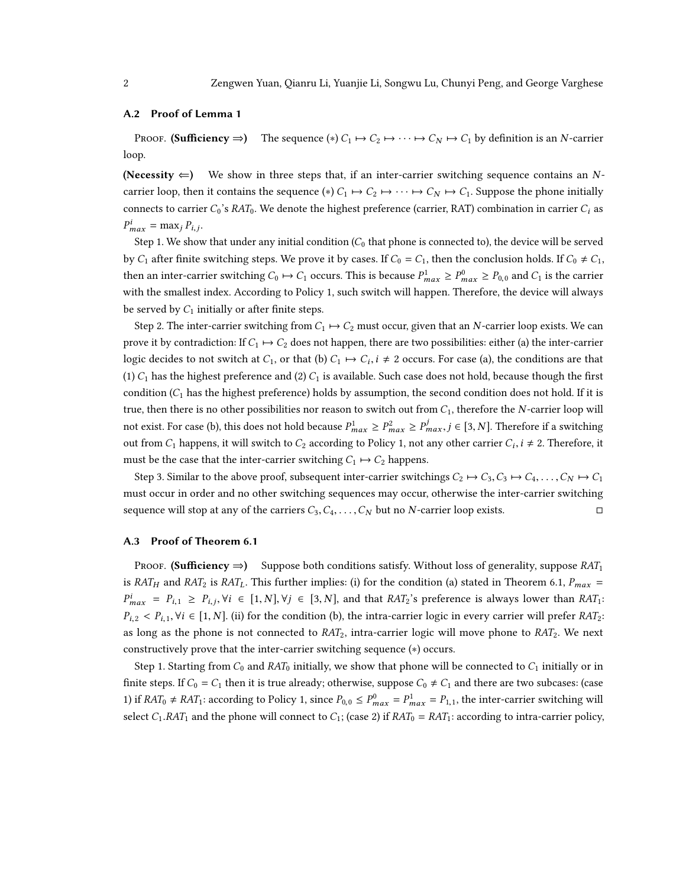#### A.2 Proof of Lemma [1](#page-0-0)

Proof. (Sufficiency  $\Rightarrow$ ) The sequence (\*)  $C_1 \mapsto C_2 \mapsto \cdots \mapsto C_N \mapsto C_1$  by definition is an N-carrier loop.

(Necessity  $\Leftarrow$ ) We show in three steps that, if an inter-carrier switching sequence contains an Ncarrier loop, then it contains the sequence (\*)  $C_1 \mapsto C_2 \mapsto \cdots \mapsto C_N \mapsto C_1$ . Suppose the phone initially connects to carrier  $C_0$ 's RAT<sub>0</sub>. We denote the highest preference (carrier, RAT) combination in carrier  $C_i$  as  $P_{max}^i = \max_j P_{i,j}.$ 

Step 1. We show that under any initial condition  $(C_0$  that phone is connected to), the device will be served by  $C_1$  after finite switching steps. We prove it by cases. If  $C_0 = C_1$ , then the conclusion holds. If  $C_0 \neq C_1$ , then an inter-carrier switching  $C_0 \mapsto C_1$  occurs. This is because  $P_{max}^1 \ge P_{max}^0 \ge P_{0,0}$  and  $C_1$  is the carrier with the smallest index. According to Policy [1,](#page-0-0) such switch will happen. Therefore, the device will always be served by  $C_1$  initially or after finite steps.

Step 2. The inter-carrier switching from  $C_1 \mapsto C_2$  must occur, given that an N-carrier loop exists. We can prove it by contradiction: If  $C_1 \mapsto C_2$  does not happen, there are two possibilities: either (a) the inter-carrier logic decides to not switch at  $C_1$ , or that (b)  $C_1 \mapsto C_i$ ,  $i \neq 2$  occurs. For case (a), the conditions are that (1)  $C_1$  has the highest preference and (2)  $C_1$  is available. Such case does not hold, because though the first condition  $(C_1$  has the highest preference) holds by assumption, the second condition does not hold. If it is true, then there is no other possibilities nor reason to switch out from  $C_1$ , therefore the N-carrier loop will not exist. For case (b), this does not hold because  $P_{max}^1 \ge P_{max}^2 \ge P_{max}^j, j \in [3, N]$ . Therefore if a switching out from  $C_1$  happens, it will switch to  $C_2$  according to Policy [1,](#page-0-0) not any other carrier  $C_i$ ,  $i \neq 2$ . Therefore, it must be the case that the inter-carrier switching  $C_1 \mapsto C_2$  happens.

Step 3. Similar to the above proof, subsequent inter-carrier switchings  $C_2 \mapsto C_3, C_3 \mapsto C_4, \ldots, C_N \mapsto C_1$ must occur in order and no other switching sequences may occur, otherwise the inter-carrier switching sequence will stop at any of the carriers  $C_3, C_4, \ldots, C_N$  but no N-carrier loop exists. □

#### A.3 Proof of Theorem [6.1](#page-0-0)

PROOF. (Sufficiency  $\Rightarrow$ ) Suppose both conditions satisfy. Without loss of generality, suppose RAT<sub>1</sub> is RAT<sub>H</sub> and RAT<sub>2</sub> is RAT<sub>L</sub>. This further implies: (i) for the condition (a) stated in Theorem [6.1,](#page-0-0)  $P_{max}$  =  $P_{i,2} < P_{i,1}, \forall i \in [1, N]$ . (ii) for the condition (b), the intra-carrier logic in every carrier will prefer RAT<sub>2</sub>:  $\mu_{max}^i = P_{i,1} \geq P_{i,j}, \forall i \in [1,N], \forall j \in [3,N],$  and that  $RAT_2$ 's preference is always lower than  $RAT_1$ : as long as the phone is not connected to  $RAT_2$ , intra-carrier logic will move phone to  $RAT_2$ . We next constructively prove that the inter-carrier switching sequence (∗) occurs.

Step 1. Starting from  $C_0$  and RAT<sub>0</sub> initially, we show that phone will be connected to  $C_1$  initially or in finite steps. If  $C_0 = C_1$  then it is true already; otherwise, suppose  $C_0 \neq C_1$  and there are two subcases: (case 1) if  $RAT_0 \neq RAT_1$ : according to Policy [1,](#page-0-0) since  $P_{0,0} \leq P_{max}^0 = P_{1,1}^1$ , the inter-carrier switching will select  $C_1$ .RAT<sub>1</sub> and the phone will connect to  $C_1$ ; (case 2) if  $RAT_0 = RAT_1$ : according to intra-carrier policy,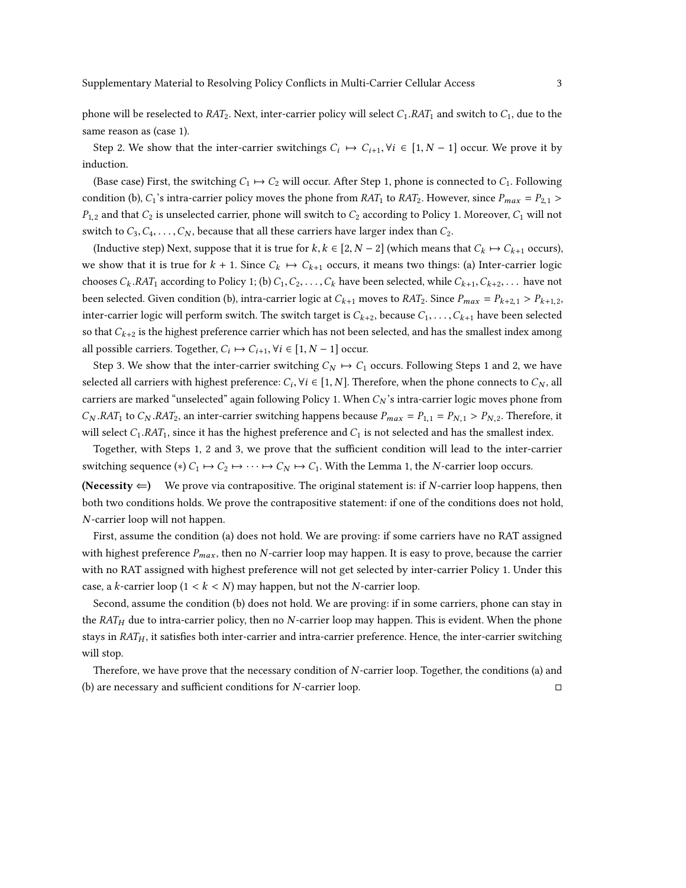phone will be reselected to  $RAT_2$ . Next, inter-carrier policy will select  $C_1, RAT_1$  and switch to  $C_1$ , due to the same reason as (case 1).

Step 2. We show that the inter-carrier switchings  $C_i \mapsto C_{i+1}, \forall i \in [1, N-1]$  occur. We prove it by induction.

(Base case) First, the switching  $C_1 \mapsto C_2$  will occur. After Step 1, phone is connected to  $C_1$ . Following condition (b),  $C_1$ 's intra-carrier policy moves the phone from  $RAT_1$  to  $RAT_2$ . However, since  $P_{max} = P_{2,1} >$  $P_{1,2}$  and that  $C_2$  is unselected carrier, phone will switch to  $C_2$  according to Policy [1.](#page-0-0) Moreover,  $C_1$  will not switch to  $C_3, C_4, \ldots, C_N$ , because that all these carriers have larger index than  $C_2$ .

(Inductive step) Next, suppose that it is true for k,  $k \in [2, N-2]$  (which means that  $C_k \mapsto C_{k+1}$  occurs), we show that it is true for  $k + 1$ . Since  $C_k \mapsto C_{k+1}$  occurs, it means two things: (a) Inter-carrier logic chooses  $C_k$ .RAT<sub>1</sub> according to Policy [1;](#page-0-0) (b)  $C_1, C_2, \ldots, C_k$  have been selected, while  $C_{k+1}, C_{k+2}, \ldots$  have not been selected. Given condition (b), intra-carrier logic at  $C_{k+1}$  moves to  $RAT_2$ . Since  $P_{max} = P_{k+2,1} > P_{k+1,2}$ , inter-carrier logic will perform switch. The switch target is  $C_{k+2}$ , because  $C_1, \ldots, C_{k+1}$  have been selected so that  $C_{k+2}$  is the highest preference carrier which has not been selected, and has the smallest index among all possible carriers. Together,  $C_i \mapsto C_{i+1}, \forall i \in [1, N-1]$  occur.

Step 3. We show that the inter-carrier switching  $C_N \mapsto C_1$  occurs. Following Steps 1 and 2, we have selected all carriers with highest preference:  $C_i$ ,  $\forall i \in [1, N]$ . Therefore, when the phone connects to  $C_N$ , all carriers are marked "unselected" again following Policy [1.](#page-0-0) When  $C_N$ 's intra-carrier logic moves phone from  $C_N.RAT_1$  to  $C_N.RAT_2$ , an inter-carrier switching happens because  $P_{max} = P_{1,1} = P_{N,1} > P_{N,2}$ . Therefore, it will select  $C_1.RAT_1$ , since it has the highest preference and  $C_1$  is not selected and has the smallest index.

Together, with Steps 1, 2 and 3, we prove that the sufficient condition will lead to the inter-carrier switching sequence (\*)  $C_1 \mapsto C_2 \mapsto \cdots \mapsto C_N \mapsto C_1$ . With the Lemma [1,](#page-0-0) the N-carrier loop occurs.

(Necessity  $\Leftarrow$ ) We prove via contrapositive. The original statement is: if N-carrier loop happens, then both two conditions holds. We prove the contrapositive statement: if one of the conditions does not hold, N-carrier loop will not happen.

First, assume the condition (a) does not hold. We are proving: if some carriers have no RAT assigned with highest preference  $P_{max}$ , then no N-carrier loop may happen. It is easy to prove, because the carrier with no RAT assigned with highest preference will not get selected by inter-carrier Policy [1.](#page-0-0) Under this case, a *k*-carrier loop ( $1 < k < N$ ) may happen, but not the *N*-carrier loop.

Second, assume the condition (b) does not hold. We are proving: if in some carriers, phone can stay in the  $RAT_H$  due to intra-carrier policy, then no N-carrier loop may happen. This is evident. When the phone stays in  $RAT_H$ , it satisfies both inter-carrier and intra-carrier preference. Hence, the inter-carrier switching will stop.

Therefore, we have prove that the necessary condition of *N*-carrier loop. Together, the conditions (a) and  $\Box$ (b) are necessary and sufficient conditions for  $N$ -carrier loop.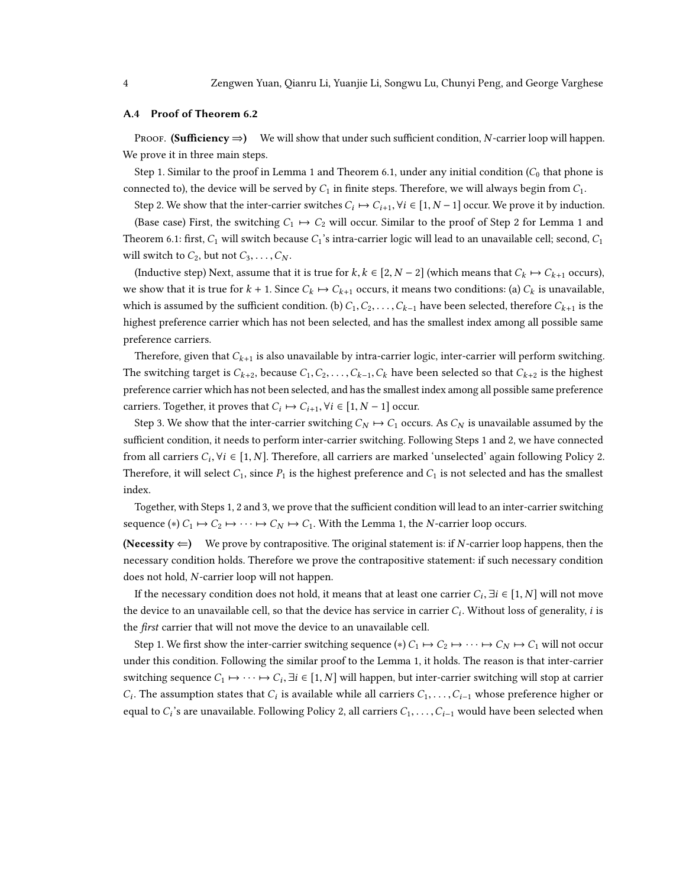#### A.4 Proof of Theorem [6.2](#page-0-0)

Proof. (Sufficiency  $\Rightarrow$ ) We will show that under such sufficient condition, N-carrier loop will happen. We prove it in three main steps.

Step [1](#page-0-0). Similar to the proof in Lemma 1 and Theorem [6.1,](#page-0-0) under any initial condition  $(C_0$  that phone is connected to), the device will be served by  $C_1$  in finite steps. Therefore, we will always begin from  $C_1$ .

Step 2. We show that the inter-carrier switches  $C_i \mapsto C_{i+1}$ ,  $\forall i \in [1, N-1]$  occur. We prove it by induction.

(Base case) First, the switching  $C_1 \rightarrow C_2$  will occur. Similar to the proof of Step 2 for Lemma [1](#page-0-0) and Theorem [6.1:](#page-0-0) first,  $C_1$  will switch because  $C_1$ 's intra-carrier logic will lead to an unavailable cell; second,  $C_1$ will switch to  $C_2$ , but not  $C_3, \ldots, C_N$ .

(Inductive step) Next, assume that it is true for k,  $k \in [2, N-2]$  (which means that  $C_k \mapsto C_{k+1}$  occurs), we show that it is true for  $k + 1$ . Since  $C_k \mapsto C_{k+1}$  occurs, it means two conditions: (a)  $C_k$  is unavailable, which is assumed by the sufficient condition. (b)  $C_1, C_2, \ldots, C_{k-1}$  have been selected, therefore  $C_{k+1}$  is the highest preference carrier which has not been selected, and has the smallest index among all possible same preference carriers.

Therefore, given that  $C_{k+1}$  is also unavailable by intra-carrier logic, inter-carrier will perform switching. The switching target is  $C_{k+2}$ , because  $C_1, C_2, \ldots, C_{k-1}, C_k$  have been selected so that  $C_{k+2}$  is the highest preference carrier which has not been selected, and has the smallest index among all possible same preference carriers. Together, it proves that  $C_i \mapsto C_{i+1}, \forall i \in [1, N-1]$  occur.

Step 3. We show that the inter-carrier switching  $C_N \mapsto C_1$  occurs. As  $C_N$  is unavailable assumed by the sufficient condition, it needs to perform inter-carrier switching. Following Steps 1 and 2, we have connected from all carriers  $C_i$ ,  $\forall i \in [1, N]$ . Therefore, all carriers are marked 'unselected' again following Policy [2.](#page-0-0) Therefore, it will select  $C_1$ , since  $P_1$  is the highest preference and  $C_1$  is not selected and has the smallest index.

Together, with Steps 1, 2 and 3, we prove that the sufficient condition will lead to an inter-carrier switching sequence (\*)  $C_1 \mapsto C_2 \mapsto \cdots \mapsto C_N \mapsto C_1$ . With the Lemma [1,](#page-0-0) the N-carrier loop occurs.

(Necessity  $\Leftarrow$ ) We prove by contrapositive. The original statement is: if N-carrier loop happens, then the necessary condition holds. Therefore we prove the contrapositive statement: if such necessary condition does not hold, N-carrier loop will not happen.

If the necessary condition does not hold, it means that at least one carrier  $C_i$ ,  $\exists i \in [1, N]$  will not move the device to an unavailable cell, so that the device has service in carrier  $C_i$ . Without loss of generality, *i* is the first carrier that will not move the device to an unavailable cell.

Step 1. We first show the inter-carrier switching sequence (\*)  $C_1 \mapsto C_2 \mapsto \cdots \mapsto C_N \mapsto C_1$  will not occur under this condition. Following the similar proof to the Lemma [1,](#page-0-0) it holds. The reason is that inter-carrier switching sequence  $C_1 \mapsto \cdots \mapsto C_i$ ,  $\exists i \in [1, N]$  will happen, but inter-carrier switching will stop at carrier equal to  $C_i$ 's are unavailable. Following Policy [2,](#page-0-0) all carriers  $C_1, \ldots, C_{i-1}$  would have been selected when . The assumption states that  $C_i$  is available while all carriers  $C_1, \ldots, C_{i-1}$  whose preference higher or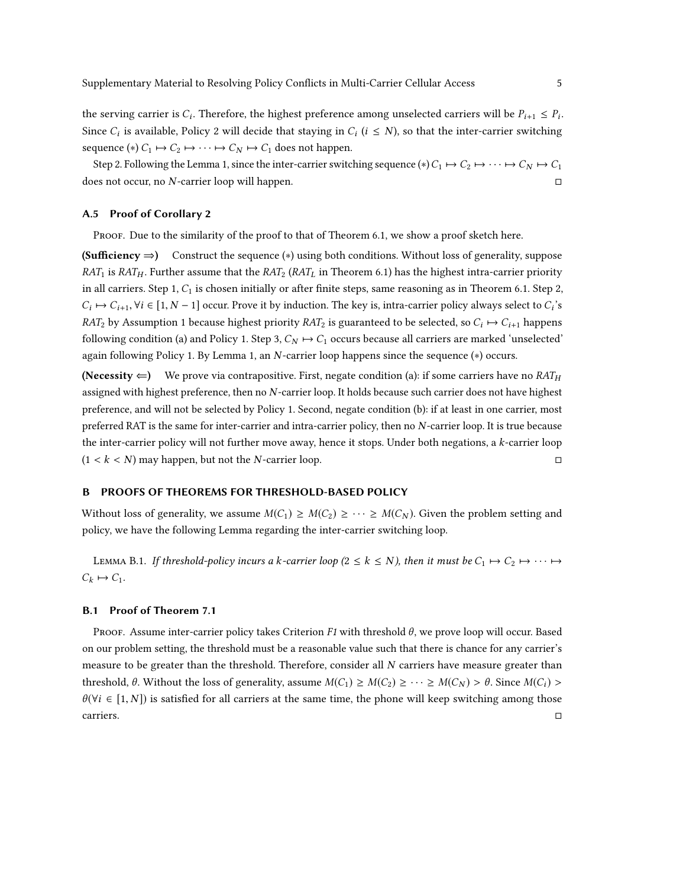the serving carrier is  $C_i$ . Therefore, the highest preference among unselected carriers will be  $P_{i+1} \leq P_i$ . Since  $C_i$  is available, Policy [2](#page-0-0) will decide that staying in  $C_i$  ( $i \le N$ ), so that the inter-carrier switching sequence (\*)  $C_1 \mapsto C_2 \mapsto \cdots \mapsto C_N \mapsto C_1$  does not happen.

Step 2. Following the Lemma [1,](#page-0-0) since the inter-carrier switching sequence (\*)  $C_1 \mapsto C_2 \mapsto \cdots \mapsto C_N \mapsto C_1$ <br>es not occur. no N-carrier loop will happen. does not occur, no  $N$ -carrier loop will happen.

## A.5 Proof of Corollary [2](#page-0-0)

PROOF. Due to the similarity of the proof to that of Theorem [6.1,](#page-0-0) we show a proof sketch here.

(Sufficiency  $\Rightarrow$ ) Construct the sequence (\*) using both conditions. Without loss of generality, suppose  $RAT_1$  is  $RAT_H$ . Further assume that the  $RAT_2$  ( $RAT_L$  in Theorem [6.1\)](#page-0-0) has the highest intra-carrier priority in all carriers. Step 1,  $C_1$  is chosen initially or after finite steps, same reasoning as in Theorem [6.1.](#page-0-0) Step 2,  $RAT_2$  by Assumption [1](#page-0-0) because highest priority  $RAT_2$  is guaranteed to be selected, so  $C_i \mapsto C_{i+1}$  happens  $\rightarrow C_{i+1}, \forall i \in [1, N-1]$  occur. Prove it by induction. The key is, intra-carrier policy always select to  $C_i$ 's following condition (a) and Policy [1.](#page-0-0) Step 3,  $C_N \mapsto C_1$  occurs because all carriers are marked 'unselected' again following Policy [1.](#page-0-0) By Lemma [1,](#page-0-0) an N-carrier loop happens since the sequence (∗) occurs.

(Necessity  $\Leftarrow$ ) We prove via contrapositive. First, negate condition (a): if some carriers have no RAT<sub>H</sub> assigned with highest preference, then no N-carrier loop. It holds because such carrier does not have highest preference, and will not be selected by Policy [1.](#page-0-0) Second, negate condition (b): if at least in one carrier, most preferred RAT is the same for inter-carrier and intra-carrier policy, then no N-carrier loop. It is true because the inter-carrier policy will not further move away, hence it stops. Under both negations, a *k*-carrier loop  $(1 \le k \le N)$  may happen, but not the *N*-carrier loop.  $(1 < k < N)$  may happen, but not the *N*-carrier loop.

#### B PROOFS OF THEOREMS FOR THRESHOLD-BASED POLICY

Without loss of generality, we assume  $M(C_1) \geq M(C_2) \geq \cdots \geq M(C_N)$ . Given the problem setting and policy, we have the following Lemma regarding the inter-carrier switching loop.

<span id="page-4-0"></span>LEMMA B.1. If threshold-policy incurs a k-carrier loop ( $2 \le k \le N$ ), then it must be  $C_1 \mapsto C_2 \mapsto \cdots \mapsto$  $C_k \mapsto C_1$ .

#### B.1 Proof of Theorem [7.1](#page-0-0)

PROOF. Assume inter-carrier policy takes Criterion F1 with threshold  $\theta$ , we prove loop will occur. Based on our problem setting, the threshold must be a reasonable value such that there is chance for any carrier's measure to be greater than the threshold. Therefore, consider all N carriers have measure greater than threshold,  $\theta$ . Without the loss of generality, assume  $M(C_1) \geq M(C_2) \geq \cdots \geq M(C_N) > \theta$ . Since  $M(C_i) >$  $\theta(\forall i \in [1, N])$  is satisfied for all carriers at the same time, the phone will keep switching among those carriers. carriers. □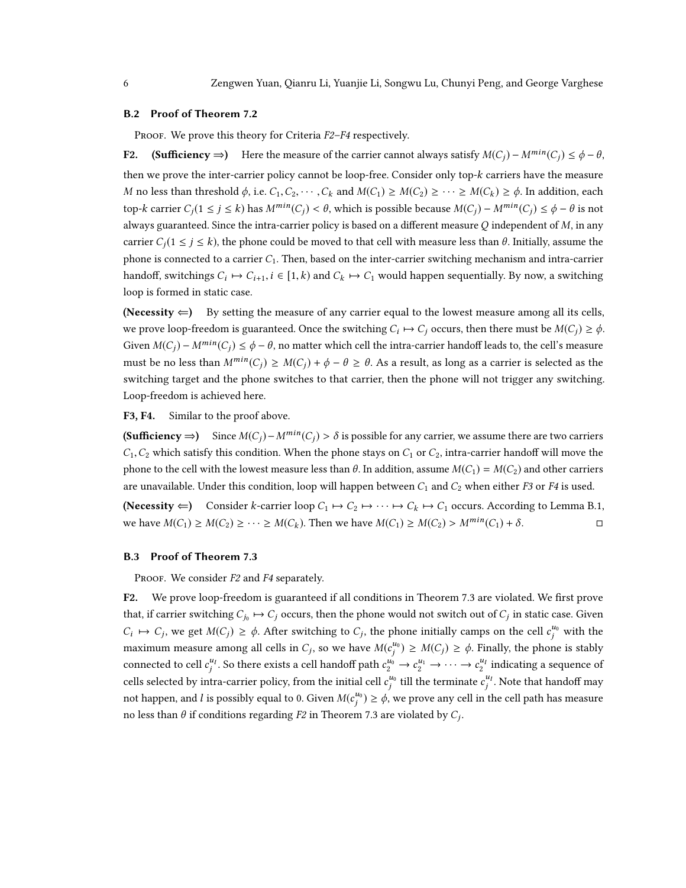#### B.2 Proof of Theorem [7.2](#page-0-0)

PROOF. We prove this theory for Criteria F2–F4 respectively.

F2. (Sufficiency ⇒) Here the measure of the carrier cannot always satisfy  $M(C_i) - M^{min}(C_i) \le \phi - \theta$ , then we prove the inter-carrier policy cannot be loop-free. Consider only top-k carriers have the measure M no less than threshold  $\phi$ , i.e.  $C_1, C_2, \cdots, C_k$  and  $M(C_1) \ge M(C_2) \ge \cdots \ge M(C_k) \ge \phi$ . In addition, each top-k carrier  $C_i(1 \le j \le k)$  has  $M^{min}(C_i) < \theta$ , which is possible because  $M(C_i) - M^{min}(C_j) \le \phi - \theta$  is not always guaranteed. Since the intra-carrier policy is based on a different measure  $Q$  independent of  $M$ , in any carrier  $C_i(1 \leq j \leq k)$ , the phone could be moved to that cell with measure less than  $\theta$ . Initially, assume the phone is connected to a carrier  $C_1$ . Then, based on the inter-carrier switching mechanism and intra-carrier handoff, switchings  $C_i \mapsto C_{i+1}, i \in [1, k)$  and  $C_k \mapsto C_1$  would happen sequentially. By now, a switching loop is formed in static case.

(Necessity  $\Leftarrow$ ) By setting the measure of any carrier equal to the lowest measure among all its cells, we prove loop-freedom is guaranteed. Once the switching  $C_i \mapsto C_j$  occurs, then there must be  $M(C_j) \ge \phi$ . Given  $M(C_i) - M^{min}(C_i) \leq \phi - \theta$ , no matter which cell the intra-carrier handoff leads to, the cell's measure must be no less than  $M^{min}(C_i) \ge M(C_i) + \phi - \theta \ge \theta$ . As a result, as long as a carrier is selected as the switching target and the phone switches to that carrier, then the phone will not trigger any switching. Loop-freedom is achieved here.

F3, F4. Similar to the proof above.

(Sufficiency ⇒) Since  $M(C_i) - M^{min}(C_i) > \delta$  is possible for any carrier, we assume there are two carriers  $C_1, C_2$  which satisfy this condition. When the phone stays on  $C_1$  or  $C_2$ , intra-carrier handoff will move the phone to the cell with the lowest measure less than  $\theta$ . In addition, assume  $M(C_1) = M(C_2)$  and other carriers are unavailable. Under this condition, loop will happen between  $C_1$  and  $C_2$  when either F3 or F4 is used.

(**Necessity**  $\Leftarrow$ ) Consider *k*-carrier loop  $C_1 \mapsto C_2 \mapsto \cdots \mapsto C_k \mapsto C_1$  occurs. According to Lemma [B.1,](#page-4-0) we have  $M(C_1) \ge M(C_2) \ge \cdots \ge M(C_k)$ . Then we have  $M(C_1) \ge M(C_2) > M^{min}(C_1) + \delta$ . we have  $M(C_1) \ge M(C_2) \ge \cdots \ge M(C_k)$ . Then we have  $M(C_1) \ge M(C_2) > M^{min}(C_1) + \delta$ .

#### B.3 Proof of Theorem [7.3](#page-0-0)

PROOF. We consider F2 and F4 separately.

F2. We prove loop-freedom is guaranteed if all conditions in Theorem [7.3](#page-0-0) are violated. We first prove that, if carrier switching  $C_{j_0} \mapsto C_j$  occurs, then the phone would not switch out of  $C_j$  in static case. Given maximum measure among all cells in  $C_j$ , so we have  $M(c_j^{u_0}) \ge M(C_j) \ge \phi$ . Finally, the phone is stably  $\mapsto C_j$ , we get  $M(C_j) \ge \phi$ . After switching to  $C_j$ , the phone initially camps on the cell  $c_j^{u_0}$  with the connected to cell  $c_j^{u_l}$ . So there exists a cell handoff path  $c_2^{u_0} \rightarrow c_2^{u_1} \rightarrow \cdots \rightarrow c_2^{u_l}$  indicating a sequence of cells selected by intra-carrier policy, from the initial cell  $c_j^{u_0}$  till the terminate  $c_j^{u_1}$ . Note that handoff may not happen, and l is possibly equal to 0. Given  $M(c_j^{u_0}) \ge \phi$ , we prove any cell in the cell path has measure no less than  $\theta$  if conditions regarding F2 in Theorem [7.3](#page-0-0) are violated by  $C_j$ .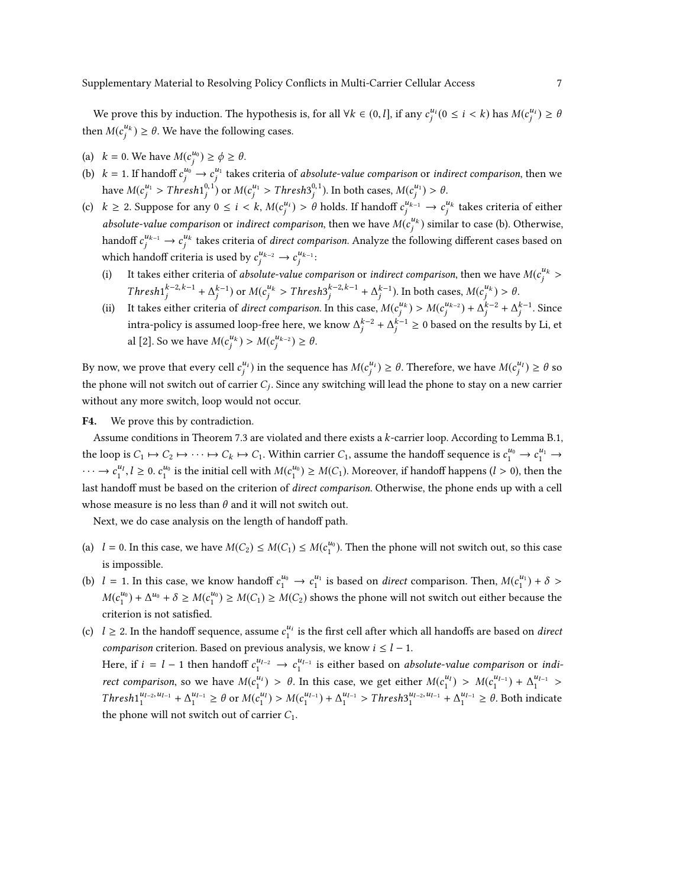We prove this by induction. The hypothesis is, for all  $\forall k \in (0, l]$ , if any  $c_j^{u_i} (0 \le i \le k)$  has  $M(c_j^{u_i}) \ge \theta$ j j then  $M(c_j^{u_k}) \ge \theta$ . We have the following cases.

(a)  $k = 0$ . We have  $M(c_j^{u_0}) \ge \phi \ge \theta$ .

j

- (b)  $k = 1$ . If handoff  $c_j^{u_0} \rightarrow c_j^{u_1}$  takes criteria of *absolute-value comparison* or *indirect comparison*, then we have  $M(c_j^{u_1} > Thresh1_j^{0,1})$  or  $M(c_j^{u_1} > Thresh3_j^{0,1})$ . In both cases,  $M(c_j^{u_1}) > \theta$ .
- (c)  $k \ge 2$ . Suppose for any  $0 \le i \le k$ ,  $M(c_j^{u_i}) > \theta$  holds. If handoff  $c_j^{u_{k-1}} \to c_j^{u_k}$  takes criteria of either absolute-value comparison or indirect comparison, then we have  $M(c_j^{u_k})$  similar to case (b). Otherwise, handoff  $c_j^{u_{k-1}} \to c_j^{u_k}$  takes criteria of *direct comparison*. Analyze the following different cases based on which handoff criteria is used by  $c_j^{u_{k-2}} \to c_j^{u_{k-1}}$ :
	- (i) It takes either criteria of *absolute-value comparison* or *indirect comparison*, then we have  $M(c_j^{u_k})$  $\mathcal{F}$  $Thresh1<sup>k-2, k-1</sup> + \Delta<sup>k-1</sup><sub>j</sub>$  or  $M(c<sup>u<sub>k</sub></sup> > Thresh3<sup>k-2, k-1</sup> + \Delta<sup>k-1</sup><sub>j</sub>$ . In both cases,  $M(c<sup>u<sub>k</sub></sup>) > \theta$ .
	- (ii) It takes either criteria of *direct comparison*. In this case,  $M(c_j^{u_k}) > M(c_j^{u_{k-2}}) + \Delta_j^{k-2} + \Delta_j^{k-1}$ . Since intra-policy is assumed loop-free here, we know  $\Delta_j^{k-2} + \Delta_j^{k-1} \ge 0$  based on the results by Li, et al [\[2\]](#page-8-1). So we have  $M(c_j^{u_k}) > M(c_j^{u_{k-2}}) \ge \theta$ .

By now, we prove that every cell  $c_j^{u_i}$  in the sequence has  $M(c_j^{u_i}) \ge \theta$ . Therefore, we have  $M(c_j^{u_i}) \ge \theta$  so the phone will not switch out of carrier  $C_j$ . Since any switching will lead the phone to stay on a new carrier without any more switch, loop would not occur.

F4. We prove this by contradiction.

Assume conditions in Theorem [7.3](#page-0-0) are violated and there exists a k-carrier loop. According to Lemma [B.1,](#page-4-0) the loop is  $C_1 \mapsto C_2 \mapsto \cdots \mapsto C_k \mapsto C_1$ . Within carrier  $C_1$ , assume the handoff sequence is  $c_1^{u_0} \mapsto c_1^{u_1} \mapsto$  $\cdots \rightarrow c_1^{u_1}, l \ge 0$ .  $c_1^{u_0}$  is the initial cell with  $M(c_1^{u_0}) \ge M(C_1)$ . Moreover, if handoff happens  $(l > 0)$ , then the last handoff must be based on the criterion of direct comparison. Otherwise, the phone ends up with a cell whose measure is no less than  $\theta$  and it will not switch out.

Next, we do case analysis on the length of handoff path.

j

j

- (a)  $l = 0$ . In this case, we have  $M(C_2) \leq M(C_1) \leq M(c_1^{u_0})$ . Then the phone will not switch out, so this case is impossible.
- (b)  $l = 1$ . In this case, we know handoff  $c_1^{u_0} \rightarrow c_1^{u_1}$  is based on direct comparison. Then,  $M(c_1^{u_1}) + \delta >$  $M(c_1^{u_0}) + \Delta^{u_0} + \delta \ge M(c_1^{u_0}) \ge M(C_1) \ge M(C_2)$  shows the phone will not switch out either because the criterion is not satisfied.
- (c)  $l \geq 2$ . In the handoff sequence, assume  $c_1^{u_i}$  is the first cell after which all handoffs are based on *direct comparison* criterion. Based on previous analysis, we know  $i \leq l - 1$ . Here, if  $i = l - 1$  then handoff  $c_1^{u_{l-2}} \to c_1^{u_{l-1}}$  is either based on *absolute-value comparison* or *indi*rect comparison, so we have  $M(c_1^{u_1}) > \theta$ . In this case, we get either  $M(c_1^{u_1}) > M(c_1^{u_{l-1}}) + \Delta_1^{u_{l-1}}$ Thresh  $\frac{u_{l-2}, u_{l-1}}{1} + \Delta_1^{u_{l-1}} \ge \theta$  or  $M(c_1^{u_l}) > M(c_1^{u_{l-1}}) + \Delta_1^{u_{l-1}} >$  Thresh $3_1^{u_{l-2}, u_{l-1}} + \Delta_1^{u_{l-1}} \ge \theta$ . Both indicate the phone will not switch out of carrier  $C_1$ .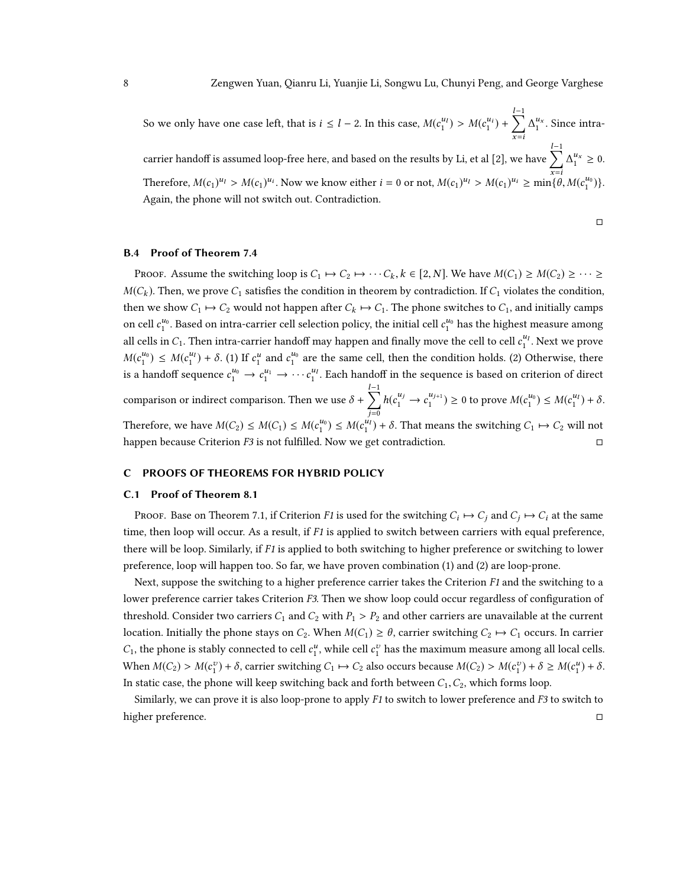So we only have one case left, that is  $i \leq l - 2$ . In this case,  $M(c_1^{u_l}) > M(c_1^{u_i}) + \sum_{s=i}^{l-1}$  $\sum_{x=i} \Delta_1^{u_x}$ . Since intra-carrier handoff is assumed loop-free here, and based on the results by Li, et al [\[2\]](#page-8-1), we have  $\sum^{l-1}$ Therefore,  $M(c_1)^{u_1} > M(c_1)^{u_i}$ . Now we know either  $i = 0$  or not,  $M(c_1)^{u_1} > M(c_1)^{u_i} \ge \min\{\theta, M(c_1^{u_0})\}.$  $\Delta_1^{u_x} \geq 0.$ Again, the phone will not switch out. Contradiction.

□

# B.4 Proof of Theorem [7.4](#page-0-0)

Proof. Assume the switching loop is  $C_1 \mapsto C_2 \mapsto \cdots C_k$ ,  $k \in [2, N]$ . We have  $M(C_1) \ge M(C_2) \ge \cdots \ge$  $M(C_k)$ . Then, we prove  $C_1$  satisfies the condition in theorem by contradiction. If  $C_1$  violates the condition, then we show  $C_1 \mapsto C_2$  would not happen after  $C_k \mapsto C_1$ . The phone switches to  $C_1$ , and initially camps on cell  $c_1^{u_0}$ . Based on intra-carrier cell selection policy, the initial cell  $c_1^{u_0}$  has the highest measure among all cells in  $C_1$ . Then intra-carrier handoff may happen and finally move the cell to cell  $c_1^{u_1}$ . Next we prove  $M(c_1^{u_0}) \leq M(c_1^{u_1}) + \delta$ . (1) If  $c_1^u$  and  $c_1^{u_0}$  are the same cell, then the condition holds. (2) Otherwise, there is a handoff sequence  $c_1^{u_0} \to c_1^{u_1} \to \cdots c_1^{u_l}$ . Each handoff in the sequence is based on criterion of direct comparison or indirect comparison. Then we use  $\delta + \sum_{i=0}^{l-1}$  $j=0$  $h(c_1^{u_j} \to c_1^{u_{j+1}}) \ge 0$  to prove  $M(c_1^{u_0}) \le M(c_1^{u_1}) + \delta$ . Therefore, we have  $M(C_2) \le M(C_1) \le M(c_1^{u_0}) \le M(c_1^{u_1}) + \delta$ . That means the switching  $C_1 \mapsto C_2$  will not happen because Criterion  $F3$  is not fulfilled. Now we get contradiction.  $□$ 

#### C PROOFS OF THEOREMS FOR HYBRID POLICY

#### C.1 Proof of Theorem [8.1](#page-0-0)

PROOF. Base on Theorem [7.1,](#page-0-0) if Criterion F1 is used for the switching  $C_i \mapsto C_j$  and  $C_j \mapsto C_i$  at the same time, then loop will occur. As a result, if F1 is applied to switch between carriers with equal preference, there will be loop. Similarly, if F1 is applied to both switching to higher preference or switching to lower preference, loop will happen too. So far, we have proven combination (1) and (2) are loop-prone.

Next, suppose the switching to a higher preference carrier takes the Criterion  $F1$  and the switching to a lower preference carrier takes Criterion F3. Then we show loop could occur regardless of configuration of threshold. Consider two carriers  $C_1$  and  $C_2$  with  $P_1 > P_2$  and other carriers are unavailable at the current location. Initially the phone stays on  $C_2$ . When  $M(C_1) \ge \theta$ , carrier switching  $C_2 \mapsto C_1$  occurs. In carrier  $C_1$ , the phone is stably connected to cell  $c_1^u$ , while cell  $c_1^v$  has the maximum measure among all local cells. When  $M(C_2) > M(c_1^v) + \delta$ , carrier switching  $C_1 \mapsto C_2$  also occurs because  $M(C_2) > M(c_1^v) + \delta \ge M(c_1^u) + \delta$ . In static case, the phone will keep switching back and forth between  $C_1, C_2$ , which forms loop.

Similarly, we can prove it is also loop-prone to apply  $F1$  to switch to lower preference and  $F3$  to switch to higher preference. □